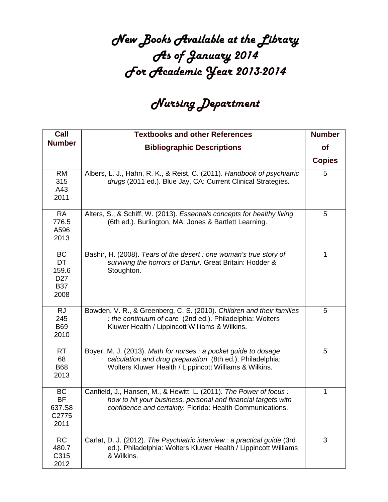## New Books Available at the Library As of January 2014 For Academic Year 2013-2014

## Nursing Department

| Call                                                              | <b>Textbooks and other References</b>                                                                                                                                                            | <b>Number</b> |
|-------------------------------------------------------------------|--------------------------------------------------------------------------------------------------------------------------------------------------------------------------------------------------|---------------|
| <b>Number</b>                                                     | <b>Bibliographic Descriptions</b>                                                                                                                                                                | <b>of</b>     |
|                                                                   |                                                                                                                                                                                                  | <b>Copies</b> |
| <b>RM</b><br>315<br>A43<br>2011                                   | Albers, L. J., Hahn, R. K., & Reist, C. (2011). Handbook of psychiatric<br>drugs (2011 ed.). Blue Jay, CA: Current Clinical Strategies.                                                          | 5             |
| <b>RA</b><br>776.5<br>A596<br>2013                                | Alters, S., & Schiff, W. (2013). Essentials concepts for healthy living<br>(6th ed.). Burlington, MA: Jones & Bartlett Learning.                                                                 | 5             |
| <b>BC</b><br>DT<br>159.6<br>D <sub>27</sub><br><b>B37</b><br>2008 | Bashir, H. (2008). Tears of the desert : one woman's true story of<br>surviving the horrors of Darfur. Great Britain: Hodder &<br>Stoughton.                                                     | 1             |
| <b>RJ</b><br>245<br><b>B69</b><br>2010                            | Bowden, V. R., & Greenberg, C. S. (2010). Children and their families<br>: the continuum of care (2nd ed.). Philadelphia: Wolters<br>Kluwer Health / Lippincott Williams & Wilkins.              | 5             |
| <b>RT</b><br>68<br><b>B68</b><br>2013                             | Boyer, M. J. (2013). Math for nurses : a pocket guide to dosage<br>calculation and drug preparation (8th ed.). Philadelphia:<br>Wolters Kluwer Health / Lippincott Williams & Wilkins.           | 5             |
| <b>BC</b><br><b>BF</b><br>637.S8<br>C2775<br>2011                 | Canfield, J., Hansen, M., & Hewitt, L. (2011). The Power of focus:<br>how to hit your business, personal and financial targets with<br>confidence and certainty. Florida: Health Communications. | $\mathbf{1}$  |
| RC<br>480.7<br>C315<br>2012                                       | Carlat, D. J. (2012). The Psychiatric interview : a practical guide (3rd<br>ed.). Philadelphia: Wolters Kluwer Health / Lippincott Williams<br>& Wilkins.                                        | 3             |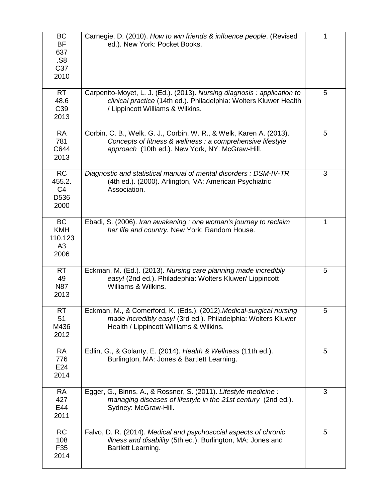| <b>BC</b><br><b>BF</b><br>637<br>.S8<br>C37<br>2010   | Carnegie, D. (2010). How to win friends & influence people. (Revised<br>ed.). New York: Pocket Books.                                                                                | 1 |
|-------------------------------------------------------|--------------------------------------------------------------------------------------------------------------------------------------------------------------------------------------|---|
| <b>RT</b><br>48.6<br>C39<br>2013                      | Carpenito-Moyet, L. J. (Ed.). (2013). Nursing diagnosis : application to<br>clinical practice (14th ed.). Philadelphia: Wolters Kluwer Health<br>/ Lippincott Williams & Wilkins.    | 5 |
| <b>RA</b><br>781<br>C644<br>2013                      | Corbin, C. B., Welk, G. J., Corbin, W. R., & Welk, Karen A. (2013).<br>Concepts of fitness & wellness : a comprehensive lifestyle<br>approach (10th ed.). New York, NY: McGraw-Hill. | 5 |
| <b>RC</b><br>455.2.<br>C <sub>4</sub><br>D536<br>2000 | Diagnostic and statistical manual of mental disorders : DSM-IV-TR<br>(4th ed.). (2000). Arlington, VA: American Psychiatric<br>Association.                                          | 3 |
| <b>BC</b><br><b>KMH</b><br>110.123<br>A3<br>2006      | Ebadi, S. (2006). Iran awakening : one woman's journey to reclaim<br>her life and country. New York: Random House.                                                                   | 1 |
| <b>RT</b><br>49<br><b>N87</b><br>2013                 | Eckman, M. (Ed.). (2013). Nursing care planning made incredibly<br>easy! (2nd ed.). Philadephia: Wolters Kluwer/ Lippincott<br>Williams & Wilkins.                                   | 5 |
| <b>RT</b><br>51<br>M436<br>2012                       | Eckman, M., & Comerford, K. (Eds.). (2012). Medical-surgical nursing<br>made incredibly easy! (3rd ed.). Philadelphia: Wolters Kluwer<br>Health / Lippincott Williams & Wilkins.     | 5 |
| <b>RA</b><br>776<br>E24<br>2014                       | Edlin, G., & Golanty, E. (2014). Health & Wellness (11th ed.).<br>Burlington, MA: Jones & Bartlett Learning.                                                                         | 5 |
| <b>RA</b><br>427<br>E44<br>2011                       | Egger, G., Binns, A., & Rossner, S. (2011). Lifestyle medicine :<br>managing diseases of lifestyle in the 21st century (2nd ed.).<br>Sydney: McGraw-Hill.                            | 3 |
| <b>RC</b><br>108<br>F35<br>2014                       | Falvo, D. R. (2014). Medical and psychosocial aspects of chronic<br>illness and disability (5th ed.). Burlington, MA: Jones and<br>Bartlett Learning.                                | 5 |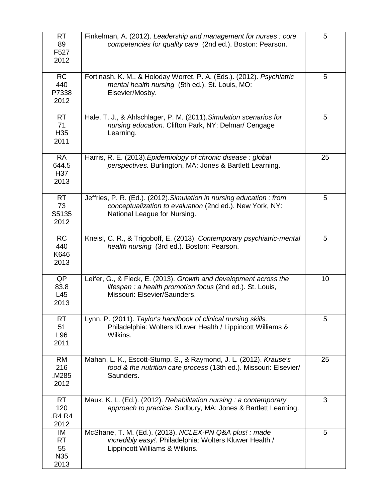| <b>RT</b><br>89<br>F527<br>2012            | Finkelman, A. (2012). Leadership and management for nurses : core<br>competencies for quality care (2nd ed.). Boston: Pearson.                                    | 5  |
|--------------------------------------------|-------------------------------------------------------------------------------------------------------------------------------------------------------------------|----|
| <b>RC</b><br>440<br>P7338<br>2012          | Fortinash, K. M., & Holoday Worret, P. A. (Eds.). (2012). Psychiatric<br>mental health nursing (5th ed.). St. Louis, MO:<br>Elsevier/Mosby.                       | 5  |
| <b>RT</b><br>71<br>H <sub>35</sub><br>2011 | Hale, T. J., & Ahlschlager, P. M. (2011). Simulation scenarios for<br>nursing education. Clifton Park, NY: Delmar/ Cengage<br>Learning.                           | 5  |
| <b>RA</b><br>644.5<br>H37<br>2013          | Harris, R. E. (2013). Epidemiology of chronic disease: global<br>perspectives. Burlington, MA: Jones & Bartlett Learning.                                         | 25 |
| <b>RT</b><br>73<br>S5135<br>2012           | Jeffries, P. R. (Ed.). (2012). Simulation in nursing education : from<br>conceptualization to evaluation (2nd ed.). New York, NY:<br>National League for Nursing. | 5  |
| <b>RC</b><br>440<br>K646<br>2013           | Kneisl, C. R., & Trigoboff, E. (2013). Contemporary psychiatric-mental<br>health nursing (3rd ed.). Boston: Pearson.                                              | 5  |
| QP<br>83.8<br>L45<br>2013                  | Leifer, G., & Fleck, E. (2013). Growth and development across the<br>lifespan : a health promotion focus (2nd ed.). St. Louis,<br>Missouri: Elsevier/Saunders.    | 10 |
| <b>RT</b><br>51<br>L96<br>2011             | Lynn, P. (2011). Taylor's handbook of clinical nursing skills.<br>Philadelphia: Wolters Kluwer Health / Lippincott Williams &<br>Wilkins.                         | 5  |
| <b>RM</b><br>216<br>M285<br>2012           | Mahan, L. K., Escott-Stump, S., & Raymond, J. L. (2012). Krause's<br>food & the nutrition care process (13th ed.). Missouri: Elsevier/<br>Saunders.               | 25 |
| <b>RT</b><br>120<br>.R4 R4<br>2012         | Mauk, K. L. (Ed.). (2012). Rehabilitation nursing : a contemporary<br>approach to practice. Sudbury, MA: Jones & Bartlett Learning.                               | 3  |
| IM<br><b>RT</b><br>55<br>N35<br>2013       | McShane, T. M. (Ed.). (2013). NCLEX-PN Q&A plus! : made<br>incredibly easy!. Philadelphia: Wolters Kluwer Health /<br>Lippincott Williams & Wilkins.              | 5  |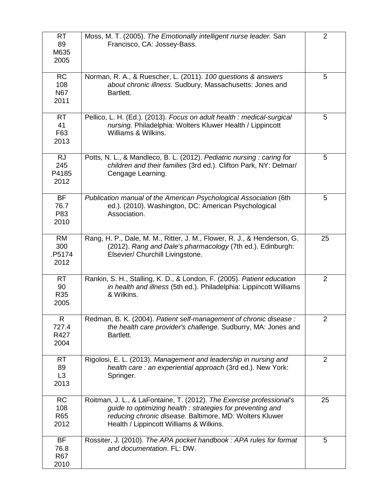| <b>RT</b><br>89<br>M635<br>2005         | Moss, M. T. (2005). The Emotionally intelligent nurse leader. San<br>Francisco, CA: Jossey-Bass.                                                                                                                                        | 2              |
|-----------------------------------------|-----------------------------------------------------------------------------------------------------------------------------------------------------------------------------------------------------------------------------------------|----------------|
| <b>RC</b><br>108<br><b>N67</b><br>2011  | Norman, R. A., & Ruescher, L. (2011). 100 questions & answers<br>about chronic illness. Sudbury, Massachusetts: Jones and<br>Bartlett.                                                                                                  | 5              |
| <b>RT</b><br>41<br>F63<br>2013          | Pellico, L. H. (Ed.). (2013). Focus on adult health : medical-surgical<br>nursing. Philadelphia: Wolters Kluwer Health / Lippincott<br>Williams & Wilkins.                                                                              | 5              |
| <b>RJ</b><br>245<br>P4185<br>2012       | Potts, N. L., & Mandleco, B. L. (2012). Pediatric nursing: caring for<br>children and their families (3rd ed.). Clifton Park, NY: Delmar/<br>Cengage Learning.                                                                          | 5              |
| <b>BF</b><br>76.7<br>P83<br>2010        | Publication manual of the American Psychological Association (6th<br>ed.). (2010). Washington, DC: American Psychological<br>Association.                                                                                               | 5              |
| <b>RM</b><br>300<br>.P5174<br>2012      | Rang, H. P., Dale, M. M., Ritter, J. M., Flower, R. J., & Henderson, G.<br>(2012). Rang and Dale's pharmacology (7th ed.). Edinburgh:<br>Elsevier/ Churchill Livingstone.                                                               | 25             |
| <b>RT</b><br>90<br><b>R35</b><br>2005   | Rankin, S. H., Stalling, K. D., & London, F. (2005). Patient education<br>in health and illness (5th ed.). Philadelphia: Lippincott Williams<br>& Wilkins.                                                                              | $\overline{2}$ |
| $\mathsf{R}$<br>727.4<br>R427<br>2004   | Redman, B. K. (2004). Patient self-management of chronic disease:<br>the health care provider's challenge. Sudburry, MA: Jones and<br>Bartlett.                                                                                         | 2              |
| <b>RT</b><br>89<br>L3<br>2013           | Rigolosi, E. L. (2013). Management and leadership in nursing and<br>health care: an experiential approach (3rd ed.). New York:<br>Springer.                                                                                             | $\overline{2}$ |
| <b>RC</b><br>108<br><b>R65</b><br>2012  | Roitman, J. L., & LaFontaine, T. (2012). The Exercise professional's<br>guide to optimizing health: strategies for preventing and<br>reducing chronic disease. Baltimore, MD: Wolters Kluwer<br>Health / Lippincott Williams & Wilkins. | 25             |
| <b>BF</b><br>76.8<br><b>R67</b><br>2010 | Rossiter, J. (2010). The APA pocket handbook: APA rules for format<br>and documentation. FL: DW.                                                                                                                                        | 5              |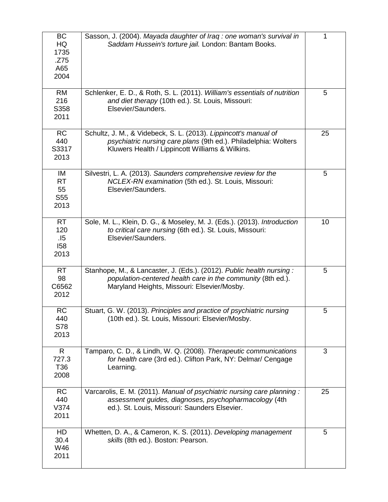| BC<br>HQ<br>1735<br>.Z75<br>A65<br>2004          | Sasson, J. (2004). Mayada daughter of Iraq : one woman's survival in<br>Saddam Hussein's torture jail. London: Bantam Books.                                                           | 1  |
|--------------------------------------------------|----------------------------------------------------------------------------------------------------------------------------------------------------------------------------------------|----|
| <b>RM</b><br>216<br>S358<br>2011                 | Schlenker, E. D., & Roth, S. L. (2011). William's essentials of nutrition<br>and diet therapy (10th ed.). St. Louis, Missouri:<br>Elsevier/Saunders.                                   | 5  |
| <b>RC</b><br>440<br>S3317<br>2013                | Schultz, J. M., & Videbeck, S. L. (2013). Lippincott's manual of<br>psychiatric nursing care plans (9th ed.). Philadelphia: Wolters<br>Kluwers Health / Lippincott Williams & Wilkins. | 25 |
| IM<br><b>RT</b><br>55<br>S <sub>55</sub><br>2013 | Silvestri, L. A. (2013). Saunders comprehensive review for the<br>NCLEX-RN examination (5th ed.). St. Louis, Missouri:<br>Elsevier/Saunders.                                           | 5  |
| <b>RT</b><br>120<br>.15<br>158<br>2013           | Sole, M. L., Klein, D. G., & Moseley, M. J. (Eds.). (2013). Introduction<br>to critical care nursing (6th ed.). St. Louis, Missouri:<br>Elsevier/Saunders.                             | 10 |
| <b>RT</b><br>98<br>C6562<br>2012                 | Stanhope, M., & Lancaster, J. (Eds.). (2012). Public health nursing:<br>population-centered health care in the community (8th ed.).<br>Maryland Heights, Missouri: Elsevier/Mosby.     | 5  |
| <b>RC</b><br>440<br>S78<br>2013                  | Stuart, G. W. (2013). Principles and practice of psychiatric nursing<br>(10th ed.). St. Louis, Missouri: Elsevier/Mosby.                                                               | 5  |
| $\mathsf{R}$<br>727.3<br>T36<br>2008             | Tamparo, C. D., & Lindh, W. Q. (2008). Therapeutic communications<br>for health care (3rd ed.). Clifton Park, NY: Delmar/ Cengage<br>Learning.                                         | 3  |
| <b>RC</b><br>440<br>V374<br>2011                 | Varcarolis, E. M. (2011). Manual of psychiatric nursing care planning:<br>assessment guides, diagnoses, psychopharmacology (4th<br>ed.). St. Louis, Missouri: Saunders Elsevier.       | 25 |
| HD<br>30.4<br>W46<br>2011                        | Whetten, D. A., & Cameron, K. S. (2011). Developing management<br>skills (8th ed.). Boston: Pearson.                                                                                   | 5  |